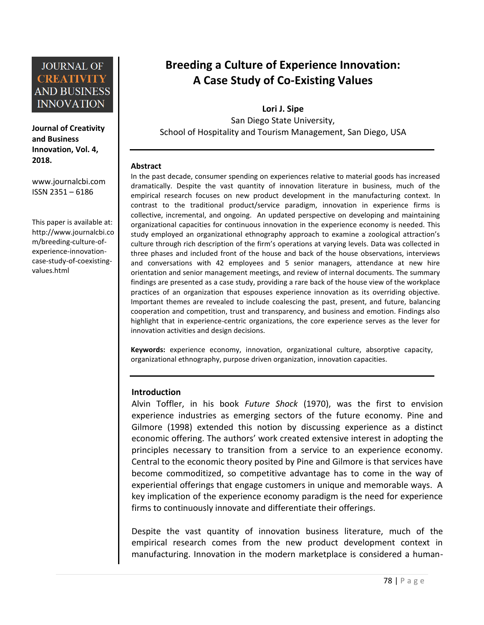

**Journal of Creativity and Business Innovation, Vol. 4, 2018.**

[www.journalcbi.com](http://www.journalcbi.com/) ISSN 2351 – 6186

This paper is available at: [http://www.journalcbi.co](http://www.journalcbi.com/ideation-using-analogies.html) [m/breeding-culture-of](http://www.journalcbi.com/ideation-using-analogies.html)[experience-innovation](http://www.journalcbi.com/ideation-using-analogies.html)[case-study-of-coexisting](http://www.journalcbi.com/ideation-using-analogies.html)[values.html](http://www.journalcbi.com/ideation-using-analogies.html)

# **Breeding a Culture of Experience Innovation: A Case Study of Co-Existing Values**

**Lori J. Sipe** San Diego State University, School of Hospitality and Tourism Management, San Diego, USA

#### **Abstract**

In the past decade, consumer spending on experiences relative to material goods has increased dramatically. Despite the vast quantity of innovation literature in business, much of the empirical research focuses on new product development in the manufacturing context. In contrast to the traditional product/service paradigm, innovation in experience firms is collective, incremental, and ongoing. An updated perspective on developing and maintaining organizational capacities for continuous innovation in the experience economy is needed. This study employed an organizational ethnography approach to examine a zoological attraction's culture through rich description of the firm's operations at varying levels. Data was collected in three phases and included front of the house and back of the house observations, interviews and conversations with 42 employees and 5 senior managers, attendance at new hire orientation and senior management meetings, and review of internal documents. The summary findings are presented as a case study, providing a rare back of the house view of the workplace practices of an organization that espouses experience innovation as its overriding objective. Important themes are revealed to include coalescing the past, present, and future, balancing cooperation and competition, trust and transparency, and business and emotion. Findings also highlight that in experience-centric organizations, the core experience serves as the lever for innovation activities and design decisions.

**Keywords:** experience economy, innovation, organizational culture, absorptive capacity, organizational ethnography, purpose driven organization, innovation capacities.

#### **Introduction**

Alvin Toffler, in his book *Future Shock* (1970), was the first to envision experience industries as emerging sectors of the future economy. Pine and Gilmore (1998) extended this notion by discussing experience as a distinct economic offering. The authors' work created extensive interest in adopting the principles necessary to transition from a service to an experience economy. Central to the economic theory posited by Pine and Gilmore is that services have become commoditized, so competitive advantage has to come in the way of experiential offerings that engage customers in unique and memorable ways. A key implication of the experience economy paradigm is the need for experience firms to continuously innovate and differentiate their offerings.

Despite the vast quantity of innovation business literature, much of the empirical research comes from the new product development context in manufacturing. Innovation in the modern marketplace is considered a human-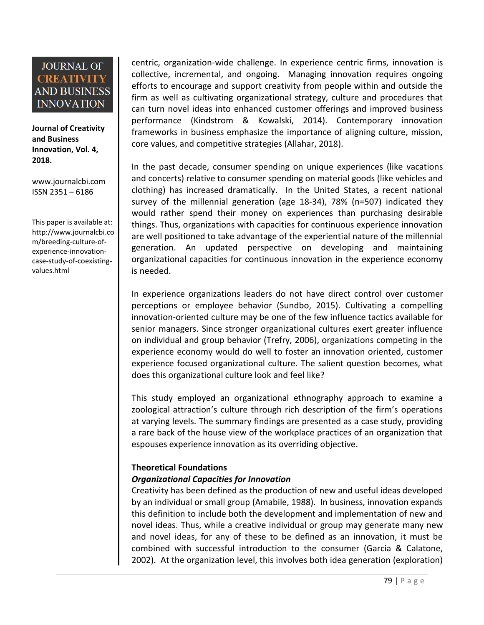**Journal of Creativity and Business Innovation, Vol. 4, 2018.**

[www.journalcbi.com](http://www.journalcbi.com/) ISSN 2351 – 6186

This paper is available at: [http://www.journalcbi.co](http://www.journalcbi.com/ideation-using-analogies.html) [m/breeding-culture-of](http://www.journalcbi.com/ideation-using-analogies.html)[experience-innovation](http://www.journalcbi.com/ideation-using-analogies.html)[case-study-of-coexisting](http://www.journalcbi.com/ideation-using-analogies.html)[values.html](http://www.journalcbi.com/ideation-using-analogies.html)

centric, organization-wide challenge. In experience centric firms, innovation is collective, incremental, and ongoing. Managing innovation requires ongoing efforts to encourage and support creativity from people within and outside the firm as well as cultivating organizational strategy, culture and procedures that can turn novel ideas into enhanced customer offerings and improved business performance (Kindstrom & Kowalski, 2014). Contemporary innovation frameworks in business emphasize the importance of aligning culture, mission, core values, and competitive strategies (Allahar, 2018).

In the past decade, consumer spending on unique experiences (like vacations and concerts) relative to consumer spending on material goods (like vehicles and clothing) has increased dramatically. In the United States, a recent national survey of the millennial generation (age 18-34), 78% (n=507) indicated they would rather spend their money on experiences than purchasing desirable things. Thus, organizations with capacities for continuous experience innovation are well positioned to take advantage of the experiential nature of the millennial generation. An updated perspective on developing and maintaining organizational capacities for continuous innovation in the experience economy is needed.

In experience organizations leaders do not have direct control over customer perceptions or employee behavior (Sundbo, 2015). Cultivating a compelling innovation-oriented culture may be one of the few influence tactics available for senior managers. Since stronger organizational cultures exert greater influence on individual and group behavior (Trefry, 2006), organizations competing in the experience economy would do well to foster an innovation oriented, customer experience focused organizational culture. The salient question becomes, what does this organizational culture look and feel like?

This study employed an organizational ethnography approach to examine a zoological attraction's culture through rich description of the firm's operations at varying levels. The summary findings are presented as a case study, providing a rare back of the house view of the workplace practices of an organization that espouses experience innovation as its overriding objective.

### **Theoretical Foundations**

### *Organizational Capacities for Innovation*

Creativity has been defined as the production of new and useful ideas developed by an individual or small group (Amabile, 1988). In business, innovation expands this definition to include both the development and implementation of new and novel ideas. Thus, while a creative individual or group may generate many new and novel ideas, for any of these to be defined as an innovation, it must be combined with successful introduction to the consumer (Garcia & Calatone, 2002). At the organization level, this involves both idea generation (exploration)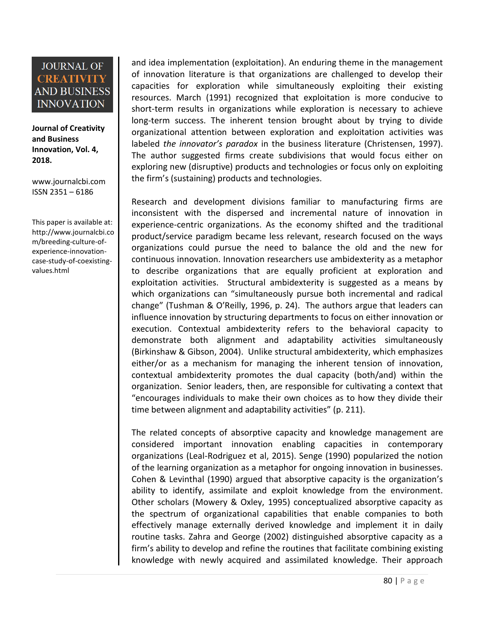**Journal of Creativity and Business Innovation, Vol. 4, 2018.**

[www.journalcbi.com](http://www.journalcbi.com/) ISSN 2351 – 6186

This paper is available at: [http://www.journalcbi.co](http://www.journalcbi.com/ideation-using-analogies.html) [m/breeding-culture-of](http://www.journalcbi.com/ideation-using-analogies.html)[experience-innovation](http://www.journalcbi.com/ideation-using-analogies.html)[case-study-of-coexisting](http://www.journalcbi.com/ideation-using-analogies.html)[values.html](http://www.journalcbi.com/ideation-using-analogies.html)

and idea implementation (exploitation). An enduring theme in the management of innovation literature is that organizations are challenged to develop their capacities for exploration while simultaneously exploiting their existing resources. March (1991) recognized that exploitation is more conducive to short-term results in organizations while exploration is necessary to achieve long-term success. The inherent tension brought about by trying to divide organizational attention between exploration and exploitation activities was labeled *the innovator's paradox* in the business literature (Christensen, 1997). The author suggested firms create subdivisions that would focus either on exploring new (disruptive) products and technologies or focus only on exploiting the firm's (sustaining) products and technologies.

Research and development divisions familiar to manufacturing firms are inconsistent with the dispersed and incremental nature of innovation in experience-centric organizations. As the economy shifted and the traditional product/service paradigm became less relevant, research focused on the ways organizations could pursue the need to balance the old and the new for continuous innovation. Innovation researchers use ambidexterity as a metaphor to describe organizations that are equally proficient at exploration and exploitation activities. Structural ambidexterity is suggested as a means by which organizations can "simultaneously pursue both incremental and radical change" (Tushman & O'Reilly, 1996, p. 24). The authors argue that leaders can influence innovation by structuring departments to focus on either innovation or execution. Contextual ambidexterity refers to the behavioral capacity to demonstrate both alignment and adaptability activities simultaneously (Birkinshaw & Gibson, 2004). Unlike structural ambidexterity, which emphasizes either/or as a mechanism for managing the inherent tension of innovation, contextual ambidexterity promotes the dual capacity (both/and) within the organization. Senior leaders, then, are responsible for cultivating a context that "encourages individuals to make their own choices as to how they divide their time between alignment and adaptability activities" (p. 211).

The related concepts of absorptive capacity and knowledge management are considered important innovation enabling capacities in contemporary organizations (Leal-Rodriguez et al, 2015). Senge (1990) popularized the notion of the learning organization as a metaphor for ongoing innovation in businesses. Cohen & Levinthal (1990) argued that absorptive capacity is the organization's ability to identify, assimilate and exploit knowledge from the environment. Other scholars (Mowery & Oxley, 1995) conceptualized absorptive capacity as the spectrum of organizational capabilities that enable companies to both effectively manage externally derived knowledge and implement it in daily routine tasks. Zahra and George (2002) distinguished absorptive capacity as a firm's ability to develop and refine the routines that facilitate combining existing knowledge with newly acquired and assimilated knowledge. Their approach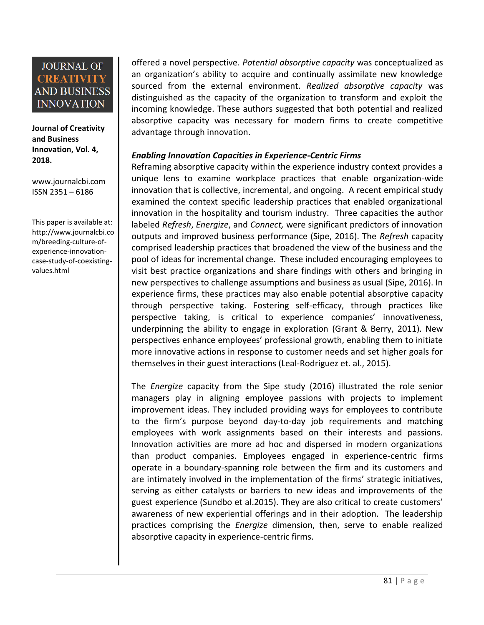**Journal of Creativity and Business Innovation, Vol. 4, 2018.**

[www.journalcbi.com](http://www.journalcbi.com/) ISSN 2351 – 6186

This paper is available at: [http://www.journalcbi.co](http://www.journalcbi.com/ideation-using-analogies.html) [m/breeding-culture-of](http://www.journalcbi.com/ideation-using-analogies.html)[experience-innovation](http://www.journalcbi.com/ideation-using-analogies.html)[case-study-of-coexisting](http://www.journalcbi.com/ideation-using-analogies.html)[values.html](http://www.journalcbi.com/ideation-using-analogies.html)

offered a novel perspective. *Potential absorptive capacity* was conceptualized as an organization's ability to acquire and continually assimilate new knowledge sourced from the external environment. *Realized absorptive capacity* was distinguished as the capacity of the organization to transform and exploit the incoming knowledge. These authors suggested that both potential and realized absorptive capacity was necessary for modern firms to create competitive advantage through innovation.

### *Enabling Innovation Capacities in Experience-Centric Firms*

Reframing absorptive capacity within the experience industry context provides a unique lens to examine workplace practices that enable organization-wide innovation that is collective, incremental, and ongoing. A recent empirical study examined the context specific leadership practices that enabled organizational innovation in the hospitality and tourism industry. Three capacities the author labeled *Refresh*, *Energize*, and *Connect,* were significant predictors of innovation outputs and improved business performance (Sipe, 2016). The *Refresh* capacity comprised leadership practices that broadened the view of the business and the pool of ideas for incremental change. These included encouraging employees to visit best practice organizations and share findings with others and bringing in new perspectives to challenge assumptions and business as usual (Sipe, 2016). In experience firms, these practices may also enable potential absorptive capacity through perspective taking. Fostering self-efficacy, through practices like perspective taking, is critical to experience companies' innovativeness, underpinning the ability to engage in exploration (Grant & Berry, 2011). New perspectives enhance employees' professional growth, enabling them to initiate more innovative actions in response to customer needs and set higher goals for themselves in their guest interactions (Leal-Rodriguez et. al., 2015).

The *Energize* capacity from the Sipe study (2016) illustrated the role senior managers play in aligning employee passions with projects to implement improvement ideas. They included providing ways for employees to contribute to the firm's purpose beyond day-to-day job requirements and matching employees with work assignments based on their interests and passions. Innovation activities are more ad hoc and dispersed in modern organizations than product companies. Employees engaged in experience-centric firms operate in a boundary-spanning role between the firm and its customers and are intimately involved in the implementation of the firms' strategic initiatives, serving as either catalysts or barriers to new ideas and improvements of the guest experience (Sundbo et al.2015). They are also critical to create customers' awareness of new experiential offerings and in their adoption. The leadership practices comprising the *Energize* dimension, then, serve to enable realized absorptive capacity in experience-centric firms.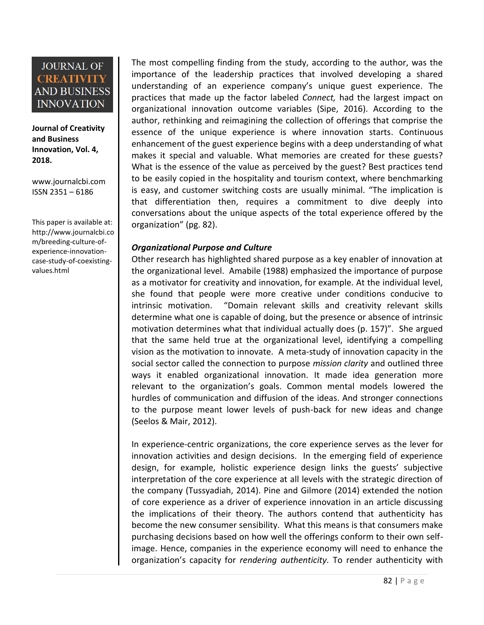**Journal of Creativity and Business Innovation, Vol. 4, 2018.**

[www.journalcbi.com](http://www.journalcbi.com/) ISSN 2351 – 6186

This paper is available at: [http://www.journalcbi.co](http://www.journalcbi.com/ideation-using-analogies.html) [m/breeding-culture-of](http://www.journalcbi.com/ideation-using-analogies.html)[experience-innovation](http://www.journalcbi.com/ideation-using-analogies.html)[case-study-of-coexisting](http://www.journalcbi.com/ideation-using-analogies.html)[values.html](http://www.journalcbi.com/ideation-using-analogies.html)

The most compelling finding from the study, according to the author, was the importance of the leadership practices that involved developing a shared understanding of an experience company's unique guest experience. The practices that made up the factor labeled *Connect,* had the largest impact on organizational innovation outcome variables (Sipe, 2016). According to the author, rethinking and reimagining the collection of offerings that comprise the essence of the unique experience is where innovation starts. Continuous enhancement of the guest experience begins with a deep understanding of what makes it special and valuable. What memories are created for these guests? What is the essence of the value as perceived by the guest? Best practices tend to be easily copied in the hospitality and tourism context, where benchmarking is easy, and customer switching costs are usually minimal. "The implication is that differentiation then, requires a commitment to dive deeply into conversations about the unique aspects of the total experience offered by the organization" (pg. 82).

### *Organizational Purpose and Culture*

Other research has highlighted shared purpose as a key enabler of innovation at the organizational level. Amabile (1988) emphasized the importance of purpose as a motivator for creativity and innovation, for example. At the individual level, she found that people were more creative under conditions conducive to intrinsic motivation. "Domain relevant skills and creativity relevant skills determine what one is capable of doing, but the presence or absence of intrinsic motivation determines what that individual actually does (p. 157)". She argued that the same held true at the organizational level, identifying a compelling vision as the motivation to innovate. A meta-study of innovation capacity in the social sector called the connection to purpose *mission clarity* and outlined three ways it enabled organizational innovation. It made idea generation more relevant to the organization's goals. Common mental models lowered the hurdles of communication and diffusion of the ideas. And stronger connections to the purpose meant lower levels of push-back for new ideas and change (Seelos & Mair, 2012).

In experience-centric organizations, the core experience serves as the lever for innovation activities and design decisions. In the emerging field of experience design, for example, holistic experience design links the guests' subjective interpretation of the core experience at all levels with the strategic direction of the company (Tussyadiah, 2014). Pine and Gilmore (2014) extended the notion of core experience as a driver of experience innovation in an article discussing the implications of their theory. The authors contend that authenticity has become the new consumer sensibility. What this means is that consumers make purchasing decisions based on how well the offerings conform to their own selfimage. Hence, companies in the experience economy will need to enhance the organization's capacity for *rendering authenticity.* To render authenticity with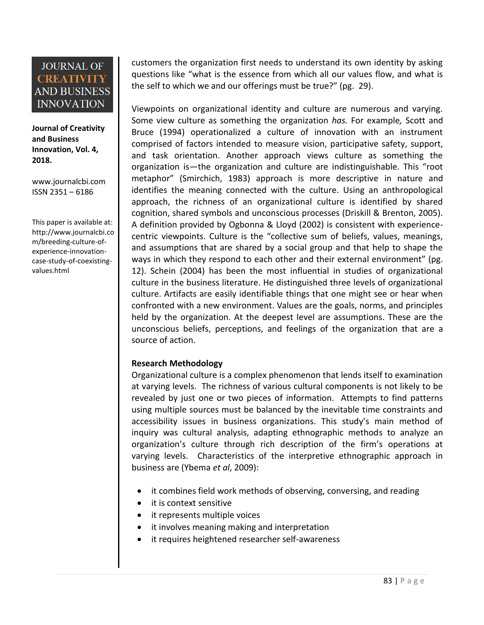**Journal of Creativity and Business Innovation, Vol. 4, 2018.**

[www.journalcbi.com](http://www.journalcbi.com/) ISSN 2351 – 6186

This paper is available at: [http://www.journalcbi.co](http://www.journalcbi.com/ideation-using-analogies.html) [m/breeding-culture-of](http://www.journalcbi.com/ideation-using-analogies.html)[experience-innovation](http://www.journalcbi.com/ideation-using-analogies.html)[case-study-of-coexisting](http://www.journalcbi.com/ideation-using-analogies.html)[values.html](http://www.journalcbi.com/ideation-using-analogies.html)

customers the organization first needs to understand its own identity by asking questions like "what is the essence from which all our values flow, and what is the self to which we and our offerings must be true?" (pg. 29).

Viewpoints on organizational identity and culture are numerous and varying. Some view culture as something the organization *has.* For example*,* Scott and Bruce (1994) operationalized a culture of innovation with an instrument comprised of factors intended to measure vision, participative safety, support, and task orientation. Another approach views culture as something the organization is—the organization and culture are indistinguishable. This "root metaphor" (Smirchich, 1983) approach is more descriptive in nature and identifies the meaning connected with the culture. Using an anthropological approach, the richness of an organizational culture is identified by shared cognition, shared symbols and unconscious processes (Driskill & Brenton, 2005). A definition provided by Ogbonna & Lloyd (2002) is consistent with experiencecentric viewpoints. Culture is the "collective sum of beliefs, values, meanings, and assumptions that are shared by a social group and that help to shape the ways in which they respond to each other and their external environment" (pg. 12). Schein (2004) has been the most influential in studies of organizational culture in the business literature. He distinguished three levels of organizational culture. Artifacts are easily identifiable things that one might see or hear when confronted with a new environment. Values are the goals, norms, and principles held by the organization. At the deepest level are assumptions. These are the unconscious beliefs, perceptions, and feelings of the organization that are a source of action.

### **Research Methodology**

Organizational culture is a complex phenomenon that lends itself to examination at varying levels. The richness of various cultural components is not likely to be revealed by just one or two pieces of information. Attempts to find patterns using multiple sources must be balanced by the inevitable time constraints and accessibility issues in business organizations. This study's main method of inquiry was cultural analysis, adapting ethnographic methods to analyze an organization's culture through rich description of the firm's operations at varying levels. Characteristics of the interpretive ethnographic approach in business are (Ybema *et al*, 2009):

- it combines field work methods of observing, conversing, and reading
- it is context sensitive
- it represents multiple voices
- it involves meaning making and interpretation
- it requires heightened researcher self-awareness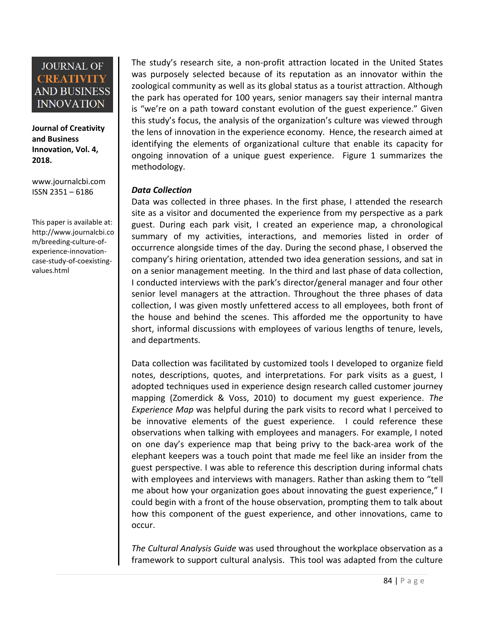**Journal of Creativity and Business Innovation, Vol. 4, 2018.**

[www.journalcbi.com](http://www.journalcbi.com/) ISSN 2351 – 6186

This paper is available at: [http://www.journalcbi.co](http://www.journalcbi.com/ideation-using-analogies.html) [m/breeding-culture-of](http://www.journalcbi.com/ideation-using-analogies.html)[experience-innovation](http://www.journalcbi.com/ideation-using-analogies.html)[case-study-of-coexisting](http://www.journalcbi.com/ideation-using-analogies.html)[values.html](http://www.journalcbi.com/ideation-using-analogies.html)

The study's research site, a non-profit attraction located in the United States was purposely selected because of its reputation as an innovator within the zoological community as well as its global status as a tourist attraction. Although the park has operated for 100 years, senior managers say their internal mantra is "we're on a path toward constant evolution of the guest experience." Given this study's focus, the analysis of the organization's culture was viewed through the lens of innovation in the experience economy. Hence, the research aimed at identifying the elements of organizational culture that enable its capacity for ongoing innovation of a unique guest experience. Figure 1 summarizes the methodology.

### *Data Collection*

Data was collected in three phases. In the first phase, I attended the research site as a visitor and documented the experience from my perspective as a park guest. During each park visit, I created an experience map, a chronological summary of my activities, interactions, and memories listed in order of occurrence alongside times of the day. During the second phase, I observed the company's hiring orientation, attended two idea generation sessions, and sat in on a senior management meeting. In the third and last phase of data collection, I conducted interviews with the park's director/general manager and four other senior level managers at the attraction. Throughout the three phases of data collection, I was given mostly unfettered access to all employees, both front of the house and behind the scenes. This afforded me the opportunity to have short, informal discussions with employees of various lengths of tenure, levels, and departments.

Data collection was facilitated by customized tools I developed to organize field notes, descriptions, quotes, and interpretations. For park visits as a guest, I adopted techniques used in experience design research called customer journey mapping (Zomerdick & Voss, 2010) to document my guest experience. *The Experience Map* was helpful during the park visits to record what I perceived to be innovative elements of the guest experience. I could reference these observations when talking with employees and managers. For example, I noted on one day's experience map that being privy to the back-area work of the elephant keepers was a touch point that made me feel like an insider from the guest perspective. I was able to reference this description during informal chats with employees and interviews with managers. Rather than asking them to "tell me about how your organization goes about innovating the guest experience," I could begin with a front of the house observation, prompting them to talk about how this component of the guest experience, and other innovations, came to occur.

*The Cultural Analysis Guide* was used throughout the workplace observation as a framework to support cultural analysis. This tool was adapted from the culture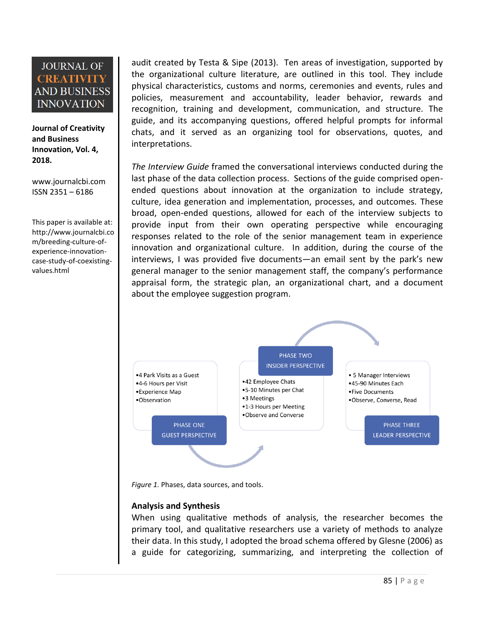**Journal of Creativity and Business Innovation, Vol. 4, 2018.**

[www.journalcbi.com](http://www.journalcbi.com/) ISSN 2351 – 6186

This paper is available at: [http://www.journalcbi.co](http://www.journalcbi.com/ideation-using-analogies.html) [m/breeding-culture-of](http://www.journalcbi.com/ideation-using-analogies.html)[experience-innovation](http://www.journalcbi.com/ideation-using-analogies.html)[case-study-of-coexisting](http://www.journalcbi.com/ideation-using-analogies.html)[values.html](http://www.journalcbi.com/ideation-using-analogies.html)

audit created by Testa & Sipe (2013). Ten areas of investigation, supported by the organizational culture literature, are outlined in this tool. They include physical characteristics, customs and norms, ceremonies and events, rules and policies, measurement and accountability, leader behavior, rewards and recognition, training and development, communication, and structure. The guide, and its accompanying questions, offered helpful prompts for informal chats, and it served as an organizing tool for observations, quotes, and interpretations.

*The Interview Guide* framed the conversational interviews conducted during the last phase of the data collection process. Sections of the guide comprised openended questions about innovation at the organization to include strategy, culture, idea generation and implementation, processes, and outcomes. These broad, open-ended questions, allowed for each of the interview subjects to provide input from their own operating perspective while encouraging responses related to the role of the senior management team in experience innovation and organizational culture. In addition, during the course of the interviews, I was provided five documents—an email sent by the park's new general manager to the senior management staff, the company's performance appraisal form, the strategic plan, an organizational chart, and a document about the employee suggestion program.



*Figure 1.* Phases, data sources, and tools.

### **Analysis and Synthesis**

When using qualitative methods of analysis, the researcher becomes the primary tool, and qualitative researchers use a variety of methods to analyze their data. In this study, I adopted the broad schema offered by Glesne (2006) as a guide for categorizing, summarizing, and interpreting the collection of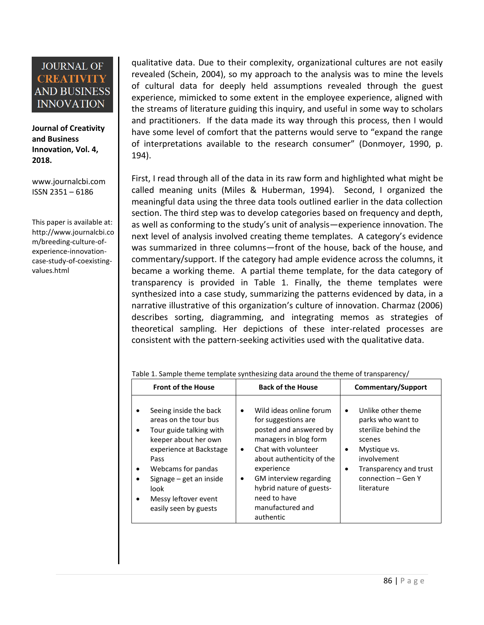**Journal of Creativity and Business Innovation, Vol. 4, 2018.**

[www.journalcbi.com](http://www.journalcbi.com/) ISSN 2351 – 6186

This paper is available at: [http://www.journalcbi.co](http://www.journalcbi.com/ideation-using-analogies.html) [m/breeding-culture-of](http://www.journalcbi.com/ideation-using-analogies.html)[experience-innovation](http://www.journalcbi.com/ideation-using-analogies.html)[case-study-of-coexisting](http://www.journalcbi.com/ideation-using-analogies.html)[values.html](http://www.journalcbi.com/ideation-using-analogies.html)

qualitative data. Due to their complexity, organizational cultures are not easily revealed (Schein, 2004), so my approach to the analysis was to mine the levels of cultural data for deeply held assumptions revealed through the guest experience, mimicked to some extent in the employee experience, aligned with the streams of literature guiding this inquiry, and useful in some way to scholars and practitioners. If the data made its way through this process, then I would have some level of comfort that the patterns would serve to "expand the range of interpretations available to the research consumer" (Donmoyer, 1990, p. 194).

First, I read through all of the data in its raw form and highlighted what might be called meaning units (Miles & Huberman, 1994). Second, I organized the meaningful data using the three data tools outlined earlier in the data collection section. The third step was to develop categories based on frequency and depth, as well as conforming to the study's unit of analysis—experience innovation. The next level of analysis involved creating theme templates. A category's evidence was summarized in three columns—front of the house, back of the house, and commentary/support. If the category had ample evidence across the columns, it became a working theme. A partial theme template, for the data category of transparency is provided in Table 1. Finally, the theme templates were synthesized into a case study, summarizing the patterns evidenced by data, in a narrative illustrative of this organization's culture of innovation. Charmaz (2006) describes sorting, diagramming, and integrating memos as strategies of theoretical sampling. Her depictions of these inter-related processes are consistent with the pattern-seeking activities used with the qualitative data.

| <b>Front of the House</b>                                                                                                                                                                                                                                                                                          | <b>Back of the House</b>                                                                                                                                                                                                                                                                       | Commentary/Support                                                                                                                                                                                            |
|--------------------------------------------------------------------------------------------------------------------------------------------------------------------------------------------------------------------------------------------------------------------------------------------------------------------|------------------------------------------------------------------------------------------------------------------------------------------------------------------------------------------------------------------------------------------------------------------------------------------------|---------------------------------------------------------------------------------------------------------------------------------------------------------------------------------------------------------------|
| Seeing inside the back<br>$\bullet$<br>areas on the tour bus<br>Tour guide talking with<br>$\bullet$<br>keeper about her own<br>experience at Backstage<br>Pass<br>Webcams for pandas<br>$\bullet$<br>Signage $-$ get an inside<br>$\bullet$<br>look<br>Messy leftover event<br>$\bullet$<br>easily seen by guests | Wild ideas online forum<br>for suggestions are<br>posted and answered by<br>managers in blog form<br>Chat with volunteer<br>$\bullet$<br>about authenticity of the<br>experience<br><b>GM</b> interview regarding<br>hybrid nature of guests-<br>need to have<br>manufactured and<br>authentic | Unlike other theme<br>$\bullet$<br>parks who want to<br>sterilize behind the<br>scenes<br>Mystique vs.<br>$\bullet$<br>involvement<br>Transparency and trust<br>$\bullet$<br>connection - Gen Y<br>literature |

Table 1. Sample theme template synthesizing data around the theme of transparency/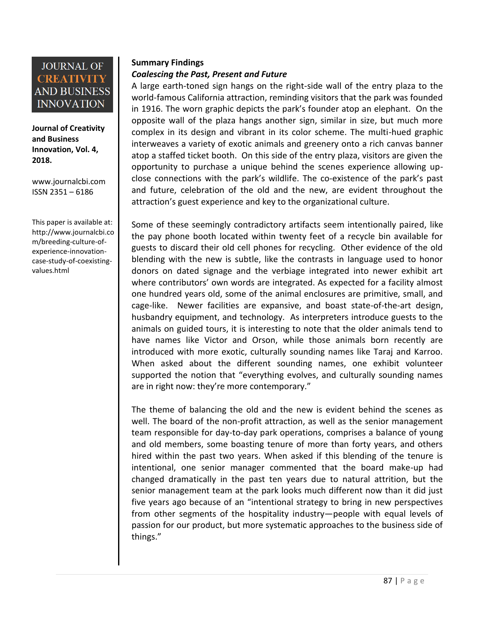

**Journal of Creativity and Business Innovation, Vol. 4, 2018.**

[www.journalcbi.com](http://www.journalcbi.com/) ISSN 2351 – 6186

This paper is available at: [http://www.journalcbi.co](http://www.journalcbi.com/ideation-using-analogies.html) [m/breeding-culture-of](http://www.journalcbi.com/ideation-using-analogies.html)[experience-innovation](http://www.journalcbi.com/ideation-using-analogies.html)[case-study-of-coexisting](http://www.journalcbi.com/ideation-using-analogies.html)[values.html](http://www.journalcbi.com/ideation-using-analogies.html)

### **Summary Findings**

### *Coalescing the Past, Present and Future*

A large earth-toned sign hangs on the right-side wall of the entry plaza to the world-famous California attraction, reminding visitors that the park was founded in 1916. The worn graphic depicts the park's founder atop an elephant. On the opposite wall of the plaza hangs another sign, similar in size, but much more complex in its design and vibrant in its color scheme. The multi-hued graphic interweaves a variety of exotic animals and greenery onto a rich canvas banner atop a staffed ticket booth. On this side of the entry plaza, visitors are given the opportunity to purchase a unique behind the scenes experience allowing upclose connections with the park's wildlife. The co-existence of the park's past and future, celebration of the old and the new, are evident throughout the attraction's guest experience and key to the organizational culture.

Some of these seemingly contradictory artifacts seem intentionally paired, like the pay phone booth located within twenty feet of a recycle bin available for guests to discard their old cell phones for recycling. Other evidence of the old blending with the new is subtle, like the contrasts in language used to honor donors on dated signage and the verbiage integrated into newer exhibit art where contributors' own words are integrated. As expected for a facility almost one hundred years old, some of the animal enclosures are primitive, small, and cage-like. Newer facilities are expansive, and boast state-of-the-art design, husbandry equipment, and technology. As interpreters introduce guests to the animals on guided tours, it is interesting to note that the older animals tend to have names like Victor and Orson, while those animals born recently are introduced with more exotic, culturally sounding names like Taraj and Karroo. When asked about the different sounding names, one exhibit volunteer supported the notion that "everything evolves, and culturally sounding names are in right now: they're more contemporary."

The theme of balancing the old and the new is evident behind the scenes as well. The board of the non-profit attraction, as well as the senior management team responsible for day-to-day park operations, comprises a balance of young and old members, some boasting tenure of more than forty years, and others hired within the past two years. When asked if this blending of the tenure is intentional, one senior manager commented that the board make-up had changed dramatically in the past ten years due to natural attrition, but the senior management team at the park looks much different now than it did just five years ago because of an "intentional strategy to bring in new perspectives from other segments of the hospitality industry—people with equal levels of passion for our product, but more systematic approaches to the business side of things."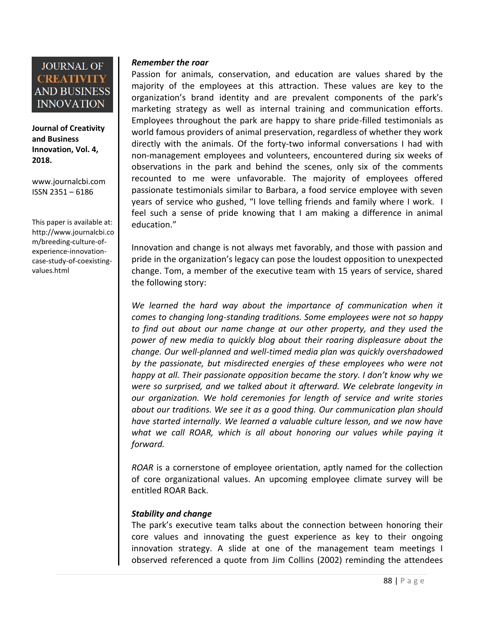

**Journal of Creativity and Business Innovation, Vol. 4, 2018.**

[www.journalcbi.com](http://www.journalcbi.com/) ISSN 2351 – 6186

This paper is available at: [http://www.journalcbi.co](http://www.journalcbi.com/ideation-using-analogies.html) [m/breeding-culture-of](http://www.journalcbi.com/ideation-using-analogies.html)[experience-innovation](http://www.journalcbi.com/ideation-using-analogies.html)[case-study-of-coexisting](http://www.journalcbi.com/ideation-using-analogies.html)[values.html](http://www.journalcbi.com/ideation-using-analogies.html)

### *Remember the roar*

Passion for animals, conservation, and education are values shared by the majority of the employees at this attraction. These values are key to the organization's brand identity and are prevalent components of the park's marketing strategy as well as internal training and communication efforts. Employees throughout the park are happy to share pride-filled testimonials as world famous providers of animal preservation, regardless of whether they work directly with the animals. Of the forty-two informal conversations I had with non-management employees and volunteers, encountered during six weeks of observations in the park and behind the scenes, only six of the comments recounted to me were unfavorable. The majority of employees offered passionate testimonials similar to Barbara, a food service employee with seven years of service who gushed, "I love telling friends and family where I work. I feel such a sense of pride knowing that I am making a difference in animal education."

Innovation and change is not always met favorably, and those with passion and pride in the organization's legacy can pose the loudest opposition to unexpected change. Tom, a member of the executive team with 15 years of service, shared the following story:

*We learned the hard way about the importance of communication when it comes to changing long-standing traditions. Some employees were not so happy to find out about our name change at our other property, and they used the power of new media to quickly blog about their roaring displeasure about the change. Our well-planned and well-timed media plan was quickly overshadowed by the passionate, but misdirected energies of these employees who were not happy at all. Their passionate opposition became the story. I don't know why we were so surprised, and we talked about it afterward. We celebrate longevity in our organization. We hold ceremonies for length of service and write stories about our traditions. We see it as a good thing. Our communication plan should have started internally. We learned a valuable culture lesson, and we now have*  what we call ROAR, which is all about honoring our values while paying it *forward.*

*ROAR* is a cornerstone of employee orientation, aptly named for the collection of core organizational values. An upcoming employee climate survey will be entitled ROAR Back.

### *Stability and change*

The park's executive team talks about the connection between honoring their core values and innovating the guest experience as key to their ongoing innovation strategy. A slide at one of the management team meetings I observed referenced a quote from Jim Collins (2002) reminding the attendees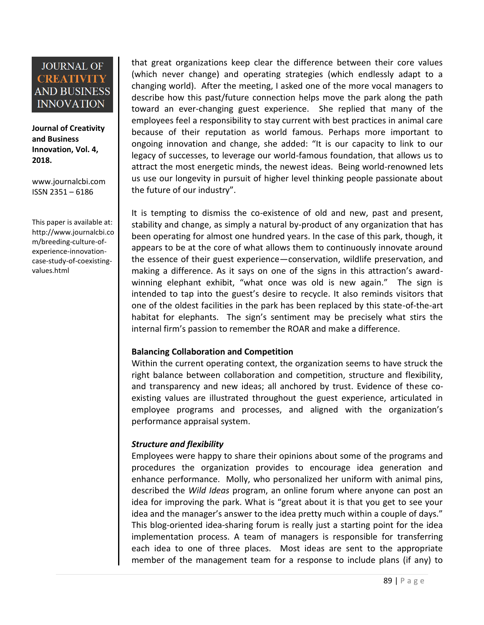**Journal of Creativity and Business Innovation, Vol. 4, 2018.**

[www.journalcbi.com](http://www.journalcbi.com/) ISSN 2351 – 6186

This paper is available at: [http://www.journalcbi.co](http://www.journalcbi.com/ideation-using-analogies.html) [m/breeding-culture-of](http://www.journalcbi.com/ideation-using-analogies.html)[experience-innovation](http://www.journalcbi.com/ideation-using-analogies.html)[case-study-of-coexisting](http://www.journalcbi.com/ideation-using-analogies.html)[values.html](http://www.journalcbi.com/ideation-using-analogies.html)

that great organizations keep clear the difference between their core values (which never change) and operating strategies (which endlessly adapt to a changing world). After the meeting, I asked one of the more vocal managers to describe how this past/future connection helps move the park along the path toward an ever-changing guest experience. She replied that many of the employees feel a responsibility to stay current with best practices in animal care because of their reputation as world famous. Perhaps more important to ongoing innovation and change, she added: "It is our capacity to link to our legacy of successes, to leverage our world-famous foundation, that allows us to attract the most energetic minds, the newest ideas. Being world-renowned lets us use our longevity in pursuit of higher level thinking people passionate about the future of our industry".

It is tempting to dismiss the co-existence of old and new, past and present, stability and change, as simply a natural by-product of any organization that has been operating for almost one hundred years. In the case of this park, though, it appears to be at the core of what allows them to continuously innovate around the essence of their guest experience—conservation, wildlife preservation, and making a difference. As it says on one of the signs in this attraction's awardwinning elephant exhibit, "what once was old is new again." The sign is intended to tap into the guest's desire to recycle. It also reminds visitors that one of the oldest facilities in the park has been replaced by this state-of-the-art habitat for elephants. The sign's sentiment may be precisely what stirs the internal firm's passion to remember the ROAR and make a difference.

### **Balancing Collaboration and Competition**

Within the current operating context, the organization seems to have struck the right balance between collaboration and competition, structure and flexibility, and transparency and new ideas; all anchored by trust. Evidence of these coexisting values are illustrated throughout the guest experience, articulated in employee programs and processes, and aligned with the organization's performance appraisal system.

### *Structure and flexibility*

Employees were happy to share their opinions about some of the programs and procedures the organization provides to encourage idea generation and enhance performance. Molly, who personalized her uniform with animal pins, described the *Wild Ideas* program, an online forum where anyone can post an idea for improving the park. What is "great about it is that you get to see your idea and the manager's answer to the idea pretty much within a couple of days." This blog-oriented idea-sharing forum is really just a starting point for the idea implementation process. A team of managers is responsible for transferring each idea to one of three places. Most ideas are sent to the appropriate member of the management team for a response to include plans (if any) to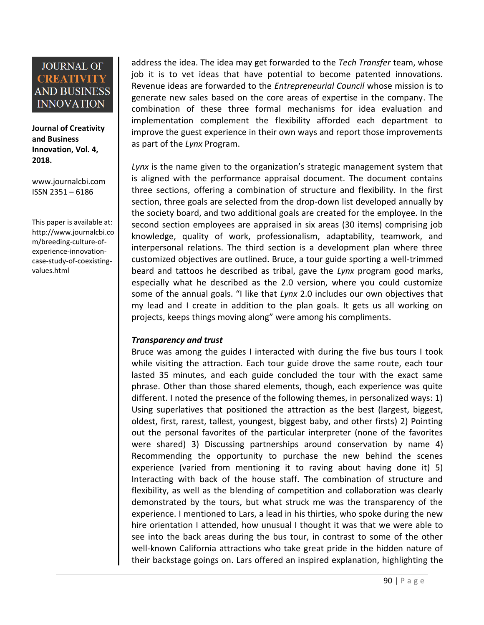**Journal of Creativity and Business Innovation, Vol. 4, 2018.**

[www.journalcbi.com](http://www.journalcbi.com/) ISSN 2351 – 6186

This paper is available at: [http://www.journalcbi.co](http://www.journalcbi.com/ideation-using-analogies.html) [m/breeding-culture-of](http://www.journalcbi.com/ideation-using-analogies.html)[experience-innovation](http://www.journalcbi.com/ideation-using-analogies.html)[case-study-of-coexisting](http://www.journalcbi.com/ideation-using-analogies.html)[values.html](http://www.journalcbi.com/ideation-using-analogies.html)

address the idea. The idea may get forwarded to the *Tech Transfer* team, whose job it is to vet ideas that have potential to become patented innovations. Revenue ideas are forwarded to the *Entrepreneurial Council* whose mission is to generate new sales based on the core areas of expertise in the company. The combination of these three formal mechanisms for idea evaluation and implementation complement the flexibility afforded each department to improve the guest experience in their own ways and report those improvements as part of the *Lynx* Program.

*Lynx* is the name given to the organization's strategic management system that is aligned with the performance appraisal document. The document contains three sections, offering a combination of structure and flexibility. In the first section, three goals are selected from the drop-down list developed annually by the society board, and two additional goals are created for the employee. In the second section employees are appraised in six areas (30 items) comprising job knowledge, quality of work, professionalism, adaptability, teamwork, and interpersonal relations. The third section is a development plan where three customized objectives are outlined. Bruce, a tour guide sporting a well-trimmed beard and tattoos he described as tribal, gave the *Lynx* program good marks, especially what he described as the 2.0 version, where you could customize some of the annual goals. "I like that *Lynx* 2.0 includes our own objectives that my lead and I create in addition to the plan goals. It gets us all working on projects, keeps things moving along" were among his compliments.

### *Transparency and trust*

Bruce was among the guides I interacted with during the five bus tours I took while visiting the attraction. Each tour guide drove the same route, each tour lasted 35 minutes, and each guide concluded the tour with the exact same phrase. Other than those shared elements, though, each experience was quite different. I noted the presence of the following themes, in personalized ways: 1) Using superlatives that positioned the attraction as the best (largest, biggest, oldest, first, rarest, tallest, youngest, biggest baby, and other firsts) 2) Pointing out the personal favorites of the particular interpreter (none of the favorites were shared) 3) Discussing partnerships around conservation by name 4) Recommending the opportunity to purchase the new behind the scenes experience (varied from mentioning it to raving about having done it) 5) Interacting with back of the house staff. The combination of structure and flexibility, as well as the blending of competition and collaboration was clearly demonstrated by the tours, but what struck me was the transparency of the experience. I mentioned to Lars, a lead in his thirties, who spoke during the new hire orientation I attended, how unusual I thought it was that we were able to see into the back areas during the bus tour, in contrast to some of the other well-known California attractions who take great pride in the hidden nature of their backstage goings on. Lars offered an inspired explanation, highlighting the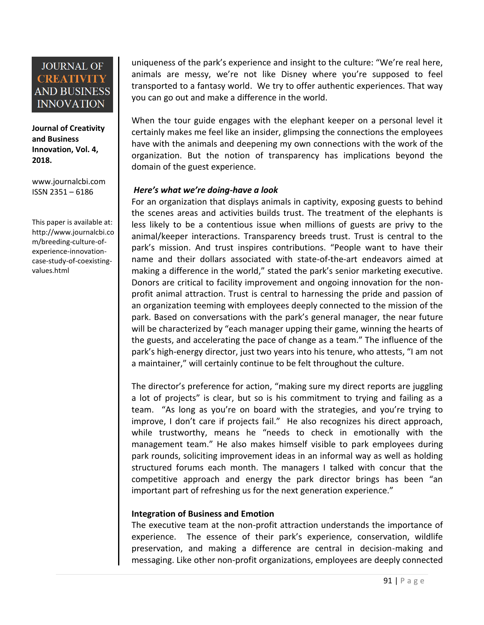**Journal of Creativity and Business Innovation, Vol. 4, 2018.**

[www.journalcbi.com](http://www.journalcbi.com/) ISSN 2351 – 6186

This paper is available at: [http://www.journalcbi.co](http://www.journalcbi.com/ideation-using-analogies.html) [m/breeding-culture-of](http://www.journalcbi.com/ideation-using-analogies.html)[experience-innovation](http://www.journalcbi.com/ideation-using-analogies.html)[case-study-of-coexisting](http://www.journalcbi.com/ideation-using-analogies.html)[values.html](http://www.journalcbi.com/ideation-using-analogies.html)

uniqueness of the park's experience and insight to the culture: "We're real here, animals are messy, we're not like Disney where you're supposed to feel transported to a fantasy world. We try to offer authentic experiences. That way you can go out and make a difference in the world.

When the tour guide engages with the elephant keeper on a personal level it certainly makes me feel like an insider, glimpsing the connections the employees have with the animals and deepening my own connections with the work of the organization. But the notion of transparency has implications beyond the domain of the guest experience.

### *Here's what we're doing-have a look*

For an organization that displays animals in captivity, exposing guests to behind the scenes areas and activities builds trust. The treatment of the elephants is less likely to be a contentious issue when millions of guests are privy to the animal/keeper interactions. Transparency breeds trust. Trust is central to the park's mission. And trust inspires contributions. "People want to have their name and their dollars associated with state-of-the-art endeavors aimed at making a difference in the world," stated the park's senior marketing executive. Donors are critical to facility improvement and ongoing innovation for the nonprofit animal attraction. Trust is central to harnessing the pride and passion of an organization teeming with employees deeply connected to the mission of the park. Based on conversations with the park's general manager, the near future will be characterized by "each manager upping their game, winning the hearts of the guests, and accelerating the pace of change as a team." The influence of the park's high-energy director, just two years into his tenure, who attests, "I am not a maintainer," will certainly continue to be felt throughout the culture.

The director's preference for action, "making sure my direct reports are juggling a lot of projects" is clear, but so is his commitment to trying and failing as a team. "As long as you're on board with the strategies, and you're trying to improve, I don't care if projects fail." He also recognizes his direct approach, while trustworthy, means he "needs to check in emotionally with the management team." He also makes himself visible to park employees during park rounds, soliciting improvement ideas in an informal way as well as holding structured forums each month. The managers I talked with concur that the competitive approach and energy the park director brings has been "an important part of refreshing us for the next generation experience."

### **Integration of Business and Emotion**

The executive team at the non-profit attraction understands the importance of experience. The essence of their park's experience, conservation, wildlife preservation, and making a difference are central in decision-making and messaging. Like other non-profit organizations, employees are deeply connected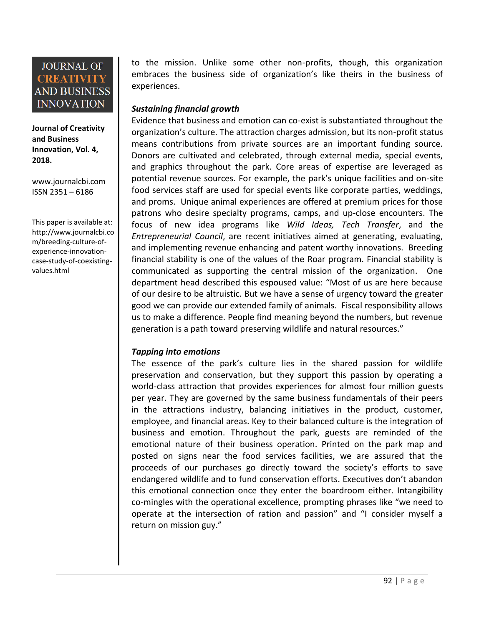**Journal of Creativity and Business Innovation, Vol. 4, 2018.**

[www.journalcbi.com](http://www.journalcbi.com/) ISSN 2351 – 6186

This paper is available at: [http://www.journalcbi.co](http://www.journalcbi.com/ideation-using-analogies.html) [m/breeding-culture-of](http://www.journalcbi.com/ideation-using-analogies.html)[experience-innovation](http://www.journalcbi.com/ideation-using-analogies.html)[case-study-of-coexisting](http://www.journalcbi.com/ideation-using-analogies.html)[values.html](http://www.journalcbi.com/ideation-using-analogies.html)

to the mission. Unlike some other non-profits, though, this organization embraces the business side of organization's like theirs in the business of experiences.

### *Sustaining financial growth*

Evidence that business and emotion can co-exist is substantiated throughout the organization's culture. The attraction charges admission, but its non-profit status means contributions from private sources are an important funding source. Donors are cultivated and celebrated, through external media, special events, and graphics throughout the park. Core areas of expertise are leveraged as potential revenue sources. For example, the park's unique facilities and on-site food services staff are used for special events like corporate parties, weddings, and proms. Unique animal experiences are offered at premium prices for those patrons who desire specialty programs, camps, and up-close encounters. The focus of new idea programs like *Wild Ideas, Tech Transfer*, and the *Entrepreneurial Council*, are recent initiatives aimed at generating, evaluating, and implementing revenue enhancing and patent worthy innovations. Breeding financial stability is one of the values of the Roar program. Financial stability is communicated as supporting the central mission of the organization. One department head described this espoused value: "Most of us are here because of our desire to be altruistic. But we have a sense of urgency toward the greater good we can provide our extended family of animals. Fiscal responsibility allows us to make a difference. People find meaning beyond the numbers, but revenue generation is a path toward preserving wildlife and natural resources."

### *Tapping into emotions*

The essence of the park's culture lies in the shared passion for wildlife preservation and conservation, but they support this passion by operating a world-class attraction that provides experiences for almost four million guests per year. They are governed by the same business fundamentals of their peers in the attractions industry, balancing initiatives in the product, customer, employee, and financial areas. Key to their balanced culture is the integration of business and emotion. Throughout the park, guests are reminded of the emotional nature of their business operation. Printed on the park map and posted on signs near the food services facilities, we are assured that the proceeds of our purchases go directly toward the society's efforts to save endangered wildlife and to fund conservation efforts. Executives don't abandon this emotional connection once they enter the boardroom either. Intangibility co-mingles with the operational excellence, prompting phrases like "we need to operate at the intersection of ration and passion" and "I consider myself a return on mission guy."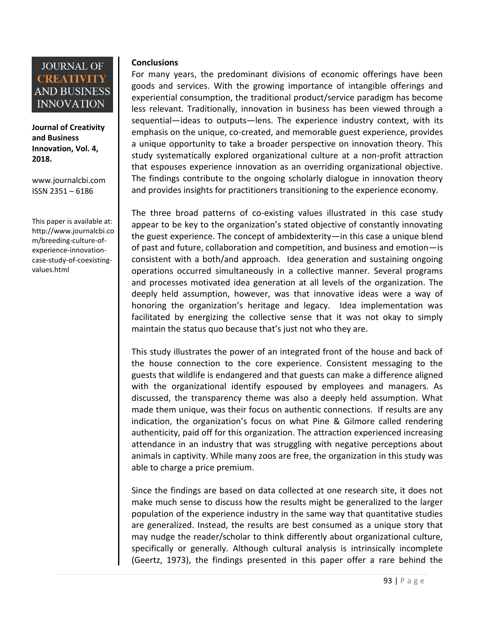**Journal of Creativity and Business Innovation, Vol. 4, 2018.**

[www.journalcbi.com](http://www.journalcbi.com/) ISSN 2351 – 6186

This paper is available at: [http://www.journalcbi.co](http://www.journalcbi.com/ideation-using-analogies.html) [m/breeding-culture-of](http://www.journalcbi.com/ideation-using-analogies.html)[experience-innovation](http://www.journalcbi.com/ideation-using-analogies.html)[case-study-of-coexisting](http://www.journalcbi.com/ideation-using-analogies.html)[values.html](http://www.journalcbi.com/ideation-using-analogies.html)

### **Conclusions**

For many years, the predominant divisions of economic offerings have been goods and services. With the growing importance of intangible offerings and experiential consumption, the traditional product/service paradigm has become less relevant. Traditionally, innovation in business has been viewed through a sequential—ideas to outputs—lens. The experience industry context, with its emphasis on the unique, co-created, and memorable guest experience, provides a unique opportunity to take a broader perspective on innovation theory. This study systematically explored organizational culture at a non-profit attraction that espouses experience innovation as an overriding organizational objective. The findings contribute to the ongoing scholarly dialogue in innovation theory and provides insights for practitioners transitioning to the experience economy.

The three broad patterns of co-existing values illustrated in this case study appear to be key to the organization's stated objective of constantly innovating the guest experience. The concept of ambidexterity—in this case a unique blend of past and future, collaboration and competition, and business and emotion—is consistent with a both/and approach. Idea generation and sustaining ongoing operations occurred simultaneously in a collective manner. Several programs and processes motivated idea generation at all levels of the organization. The deeply held assumption, however, was that innovative ideas were a way of honoring the organization's heritage and legacy. Idea implementation was facilitated by energizing the collective sense that it was not okay to simply maintain the status quo because that's just not who they are.

This study illustrates the power of an integrated front of the house and back of the house connection to the core experience. Consistent messaging to the guests that wildlife is endangered and that guests can make a difference aligned with the organizational identify espoused by employees and managers. As discussed, the transparency theme was also a deeply held assumption. What made them unique, was their focus on authentic connections. If results are any indication, the organization's focus on what Pine & Gilmore called rendering authenticity, paid off for this organization. The attraction experienced increasing attendance in an industry that was struggling with negative perceptions about animals in captivity. While many zoos are free, the organization in this study was able to charge a price premium.

Since the findings are based on data collected at one research site, it does not make much sense to discuss how the results might be generalized to the larger population of the experience industry in the same way that quantitative studies are generalized. Instead, the results are best consumed as a unique story that may nudge the reader/scholar to think differently about organizational culture, specifically or generally. Although cultural analysis is intrinsically incomplete (Geertz, 1973), the findings presented in this paper offer a rare behind the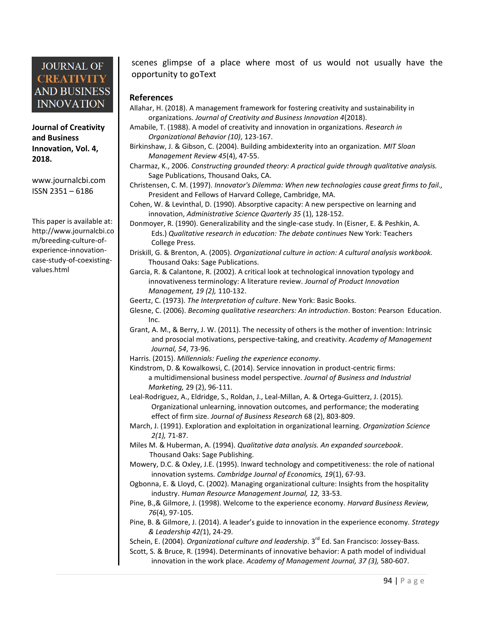**Journal of Creativity and Business Innovation, Vol. 4, 2018.**

[www.journalcbi.com](http://www.journalcbi.com/) ISSN 2351 – 6186

This paper is available at: [http://www.journalcbi.co](http://www.journalcbi.com/ideation-using-analogies.html) [m/breeding-culture-of](http://www.journalcbi.com/ideation-using-analogies.html)[experience-innovation](http://www.journalcbi.com/ideation-using-analogies.html)[case-study-of-coexisting](http://www.journalcbi.com/ideation-using-analogies.html)[values.html](http://www.journalcbi.com/ideation-using-analogies.html)

scenes glimpse of a place where most of us would not usually have the opportunity to goText

#### **References**

- Allahar, H. (2018). A management framework for fostering creativity and sustainability in organizations. *Journal of Creativity and Business Innovation 4*(2018).
- Amabile, T. (1988). A model of creativity and innovation in organizations. *Research in Organizational Behavior (10)*, 123-167.
- Birkinshaw, J. & Gibson, C. (2004). Building ambidexterity into an organization. *MIT Sloan Management Review 45*(4), 47-55.
- Charmaz, K., 2006. *Constructing grounded theory: A practical guide through qualitative analysis.* Sage Publications, Thousand Oaks, CA.
- Christensen, C. M. (1997). *Innovator's Dilemma: When new technologies cause great firms to fail.,*  President and Fellows of Harvard College, Cambridge, MA.
- Cohen, W. & Levinthal, D. (1990). Absorptive capacity: A new perspective on learning and innovation, *Administrative Science Quarterly 35* (1), 128-152.
- Donmoyer, R. (1990). Generalizability and the single-case study. In (Eisner, E. & Peshkin, A. Eds.) *Qualitative research in education: The debate continues* New York: Teachers College Press.
- Driskill, G. & Brenton, A. (2005). *Organizational culture in action: A cultural analysis workbook.*  Thousand Oaks: Sage Publications.
- Garcia, R. & Calantone, R. (2002). A critical look at technological innovation typology and innovativeness terminology: A literature review. *Journal of Product Innovation Management, 19 (2),* 110-132.
- Geertz, C. (1973). *The Interpretation of culture*. New York: Basic Books.
- Glesne, C. (2006). *Becoming qualitative researchers: An introduction*. Boston: Pearson Education. Inc.
- Grant, A. M., & Berry, J. W. (2011). The necessity of others is the mother of invention: Intrinsic and prosocial motivations, perspective-taking, and creativity. *Academy of Management Journal, 54*, 73-96.
- Harris. (2015). *Millennials: Fueling the experience economy*.
- Kindstrom, D. & Kowalkowsi, C. (2014). Service innovation in product-centric firms: a multidimensional business model perspective. *Journal of Business and Industrial Marketing,* 29 (2), 96-111.
- Leal-Rodriguez, A., Eldridge, S., Roldan, J., Leal-Millan, A. & Ortega-Guitterz, J. (2015). Organizational unlearning, innovation outcomes, and performance; the moderating effect of firm size. *Journal of Business Research* 68 (2), 803-809.
- March, J. (1991). Exploration and exploitation in organizational learning. *Organization Science 2(1),* 71-87.
- Miles M. & Huberman, A. (1994). *Qualitative data analysis. An expanded sourcebook*. Thousand Oaks: Sage Publishing.
- Mowery, D.C. & Oxley, J.E. (1995). Inward technology and competitiveness: the role of national innovation systems. *Cambridge Journal of Economics, 19*(1), 67-93.
- Ogbonna, E. & Lloyd, C. (2002). Managing organizational culture: Insights from the hospitality industry. *Human Resource Management Journal, 12,* 33-53.
- Pine, B.,& Gilmore, J. (1998). Welcome to the experience economy. *Harvard Business Review, 76*(4), 97-105.
- Pine, B. & Gilmore, J. (2014). A leader's guide to innovation in the experience economy. *Strategy & Leadership 42(*1), 24-29.

Schein, E. (2004). *Organizational culture and leadership*. 3<sup>rd</sup> Ed. San Francisco: Jossey-Bass.

Scott, S. & Bruce, R. (1994). Determinants of innovative behavior: A path model of individual innovation in the work place. *Academy of Management Journal, 37 (3),* 580-607.